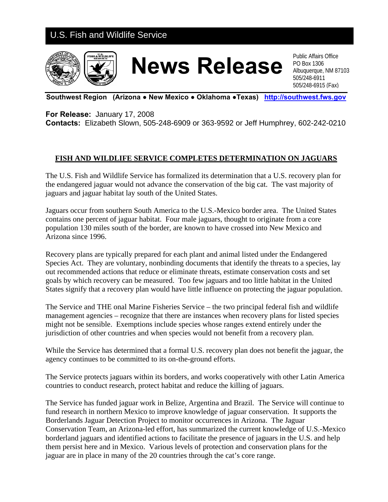## U.S. Fish and Wildlife Service



## **News Release Public Affairs Office**

PO Box 1306 Albuquerque, NM 87103 505/248-6911 505/248-6915 (Fax)

**Southwest Region (Arizona ● New Mexico ● Oklahoma ●Texas) [http://southwest.fws.gov](http://southwest.fws.gov/)**

**For Release:** January 17, 2008

**Contacts:** Elizabeth Slown, 505-248-6909 or 363-9592 or Jeff Humphrey, 602-242-0210

## **FISH AND WILDLIFE SERVICE COMPLETES DETERMINATION ON JAGUARS**

The U.S. Fish and Wildlife Service has formalized its determination that a U.S. recovery plan for the endangered jaguar would not advance the conservation of the big cat. The vast majority of jaguars and jaguar habitat lay south of the United States.

Jaguars occur from southern South America to the U.S.-Mexico border area. The United States contains one percent of jaguar habitat. Four male jaguars, thought to originate from a core population 130 miles south of the border, are known to have crossed into New Mexico and Arizona since 1996.

Recovery plans are typically prepared for each plant and animal listed under the Endangered Species Act. They are voluntary, nonbinding documents that identify the threats to a species, lay out recommended actions that reduce or eliminate threats, estimate conservation costs and set goals by which recovery can be measured. Too few jaguars and too little habitat in the United States signify that a recovery plan would have little influence on protecting the jaguar population.

The Service and THE onal Marine Fisheries Service – the two principal federal fish and wildlife management agencies – recognize that there are instances when recovery plans for listed species might not be sensible. Exemptions include species whose ranges extend entirely under the jurisdiction of other countries and when species would not benefit from a recovery plan.

While the Service has determined that a formal U.S. recovery plan does not benefit the jaguar, the agency continues to be committed to its on-the-ground efforts.

The Service protects jaguars within its borders, and works cooperatively with other Latin America countries to conduct research, protect habitat and reduce the killing of jaguars.

The Service has funded jaguar work in Belize, Argentina and Brazil. The Service will continue to fund research in northern Mexico to improve knowledge of jaguar conservation. It supports the Borderlands Jaguar Detection Project to monitor occurrences in Arizona. The Jaguar Conservation Team, an Arizona-led effort, has summarized the current knowledge of U.S.-Mexico borderland jaguars and identified actions to facilitate the presence of jaguars in the U.S. and help them persist here and in Mexico. Various levels of protection and conservation plans for the jaguar are in place in many of the 20 countries through the cat's core range.